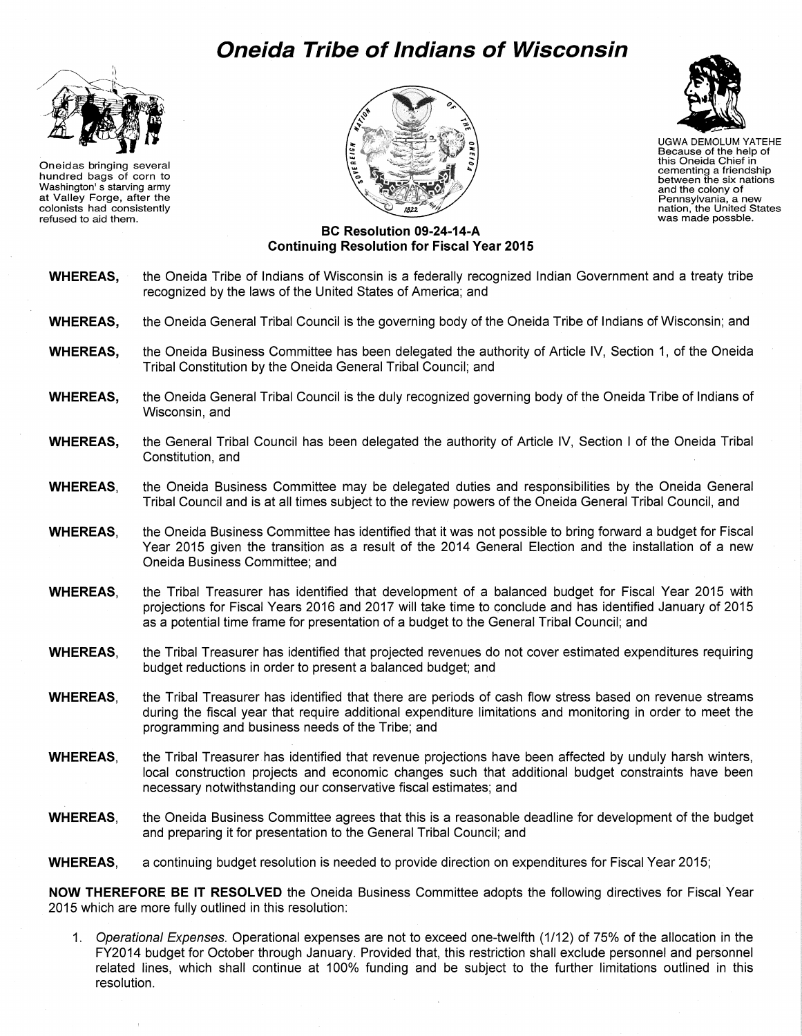# **Oneida Tribe of Indians of Wisconsin**



Oneidas bringing several hundred bags of corn to Washington' s starving army at Valley Forge, after the colonists had consistently refused to aid them.





UGWA DEMOLUM YATEHE Because of the help of this Oneida Chief in cementing a friendship between the six nations and the colony of Pennsylvania, a new nation, the United States was made possble.

## **BC Resolution 09-24-14-A Continuing Resolution for Fiscal Year 2015**

- **WHEREAS,** the Oneida Tribe of Indians of Wisconsin is a federally recognized Indian Government and a treaty tribe recognized by the laws of the United States of America; and
- **WHEREAS,** the Oneida General Tribal Council is the governing body of the Oneida Tribe of Indians of Wisconsin; and
- **WHEREAS,** the Oneida Business Committee has been delegated the authority of Article IV, Section 1, of the Oneida Tribal Constitution by the Oneida General Tribal Council; and
- **WHEREAS,** the Oneida General Tribal Council is the duly recognized governing body of the Oneida Tribe of Indians of Wisconsin, and
- **WHEREAS,** the General Tribal Council has been delegated the authority of Article IV, Section I of the Oneida Tribal Constitution, and
- **WHEREAS,** the Oneida Business Committee may be delegated duties and responsibilities by the Oneida General Tribal Council and is at all times subject to the review powers of the Oneida General Tribal Council, and
- **WHEREAS,** the Oneida Business Committee has identified that it was not possible to bring forward a budget for Fiscal Year 2015 given the transition as a result of the 2014 General Election and the installation of a new Oneida Business Committee; and
- **WHEREAS,** the Tribal Treasurer has identified that development of a balanced budget for Fiscal Year 2015 with projections for Fiscal Years 2016 and 2017 will take time to conclude and has identified January of 2015 as a potential time frame for presentation of a budget to the General Tribal Council; and
- **WHEREAS,** the Tribal Treasurer has identified that projected revenues do not cover estimated expenditures requiring budget reductions in order to present a balanced budget; and
- **WHEREAS,** the Tribal Treasurer has identified that there are periods of cash flow stress based on revenue streams during the fiscal year that require additional expenditure limitations and monitoring in order to meet the programming and business needs of the Tribe; and
- **WHEREAS,** the Tribal Treasurer has identified that revenue projections have been affected by unduly harsh winters, local construction projects and economic changes such that additional budget constraints have been necessary notwithstanding our conservative fiscal estimates; and
- **WHEREAS,** the Oneida Business Committee agrees that this is a reasonable deadline for development of the budget and preparing it for presentation to the General Tribal Council; and
- **WHEREAS,** a continuing budget resolution is needed to provide direction on expenditures for Fiscal Year 2015;

**NOW THEREFORE BE IT RESOLVED** the Oneida Business Committee adopts the following directives for Fiscal Year 2015 which are more fully outlined in this resolution:

1. Operational Expenses. Operational expenses are not to exceed one-twelfth (1/12) of 75% of the allocation in the FY2014 budget for October through January. Provided that, this restriction shall exclude personnel and personnel related lines, which shall continue at 100% funding and be subject to the further limitations outlined in this resolution.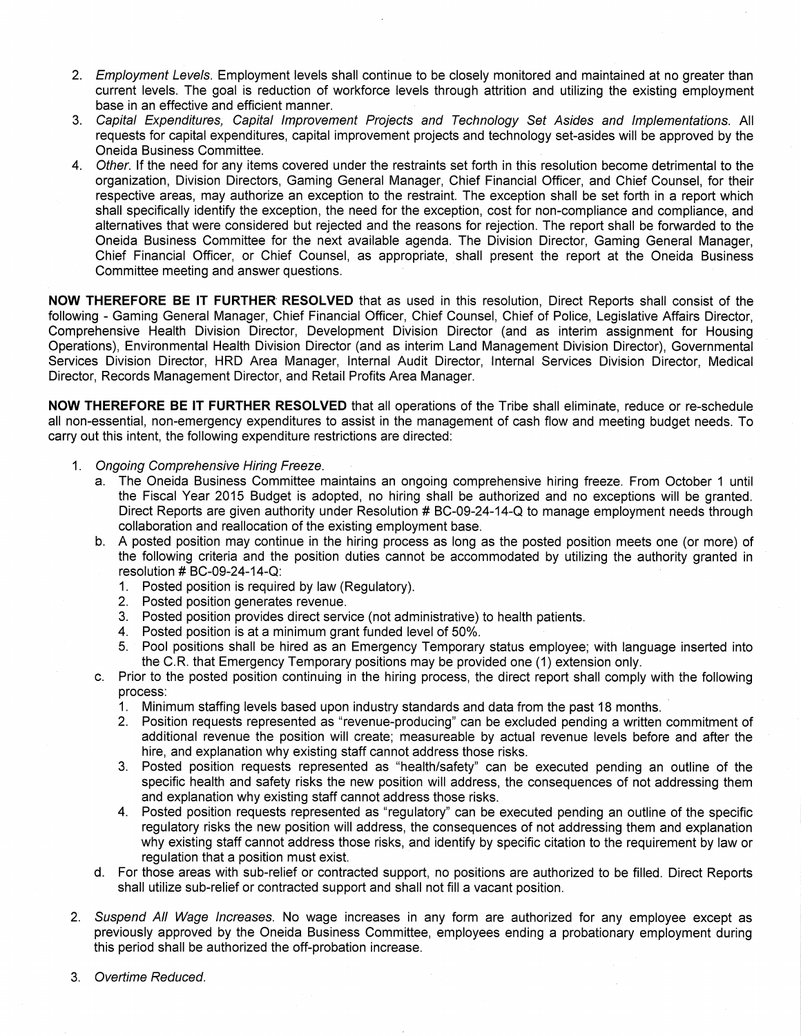- 2. Employment Levels. Employment levels shall continue to be closely monitored and maintained at no greater than current levels. The goal is reduction of workforce levels through attrition and utilizing the existing employment base in an effective and efficient manner.
- 3. Capital Expenditures, Capital Improvement Projects and Technology Set Asides and Implementations. All requests for capital expenditures, capital improvement projects and technology set-asides will be approved by the Oneida Business Committee.
- 4. Other. If the need for any items covered under the restraints set forth in this resolution become detrimental to the organization, Division Directors, Gaming General Manager, Chief Financial Officer, and Chief Counsel, for their respective areas, may authorize an exception to the restraint. The exception shall be set forth in a report which shall specifically identify the exception, the need for the exception, cost for non-compliance and compliance, and alternatives that were considered but rejected and the reasons for rejection. The report shall be forwarded to the Oneida Business Committee for the next available agenda. The Division Director, Gaming General Manager, Chief Financial Officer, or Chief Counsel, as appropriate, shall present the report at the Oneida Business Committee meeting and answer questions.

**NOW THEREFORE BE IT FURTHER RESOLVED** that as used in this resolution, Direct Reports shall consist of the following - Gaming General Manager, Chief Financial Officer, Chief Counsel, Chief of Police, Legislative Affairs Director, Comprehensive Health Division Director, Development Division Director (and as interim assignment for Housing Operations), Environmental Health Division Director (and as interim Land Management Division Director}, Governmental Services Division Director, HRD Area Manager, Internal Audit Director, Internal Services Division Director, Medical Director, Records Management Director, and Retail Profits Area Manager.

**NOW THEREFORE BE IT FURTHER RESOLVED** that all operations of the Tribe shall eliminate, reduce or re-schedule all non-essential, non-emergency expenditures to assist in the management of cash flow and meeting budget needs. To carry out this intent, the following expenditure restrictions are directed:

- 1. Ongoing Comprehensive Hiring Freeze.
	- a. The Oneida Business Committee maintains an ongoing comprehensive hiring freeze. From October 1 until the Fiscal Year 2015 Budget is adopted, no hiring shall be authorized and no exceptions will be granted. Direct Reports are given authority under Resolution # BC-09-24-14-Q to manage employment needs through collaboration and reallocation of the existing employment base.
	- b. A posted position may continue in the hiring process as long as the posted position meets one (or more) of the following criteria and the position duties cannot be accommodated by utilizing the authority granted in resolution  $#$  BC-09-24-14-Q:
		- 1. Posted position is required by law (Regulatory).
		- 2. Posted position generates revenue.
		- 3. Posted position provides direct service (not administrative) to health patients.
		- 4. Posted position is at a minimum grant funded level of 50%.
		- 5. Pool positions shall be hired as an Emergency Temporary status employee; with language inserted into the C.R. that Emergency Temporary positions may be provided one (1) extension only.
	- c. Prior to the posted position continuing in the hiring process, the direct report shall comply with the following process:
		- 1. Minimum staffing levels based upon industry standards and data from the past 18 months.
		- 2. Position requests represented as "revenue-producing" can be excluded pending a written commitment of additional revenue the position will create; measureable by actual revenue levels before and after the hire, and explanation why existing staff cannot address those risks.
		- 3. Posted position requests represented as "health/safety" can be executed pending an outline of the specific health and safety risks the new position will address, the consequences of not addressing them and explanation why existing staff cannot address those risks.
		- 4. Posted position requests represented as "regulatory" can be executed pending an outline of the specific regulatory risks the new position will address, the consequences of not addressing them and explanation why existing staff cannot address those risks, and identify by specific citation to the requirement by law or regulation that a position must exist.
	- d. For those areas with sub-relief or contracted support, no positions are authorized to be filled. Direct Reports shall utilize sub-relief or contracted support and shall not fill a vacant position.
- 2. Suspend All Wage Increases. No wage increases in any form are authorized for any employee except as previously approved by the Oneida Business Committee, employees ending a probationary employment during this period shall be authorized the off-probation increase.
- 3. Overtime Reduced.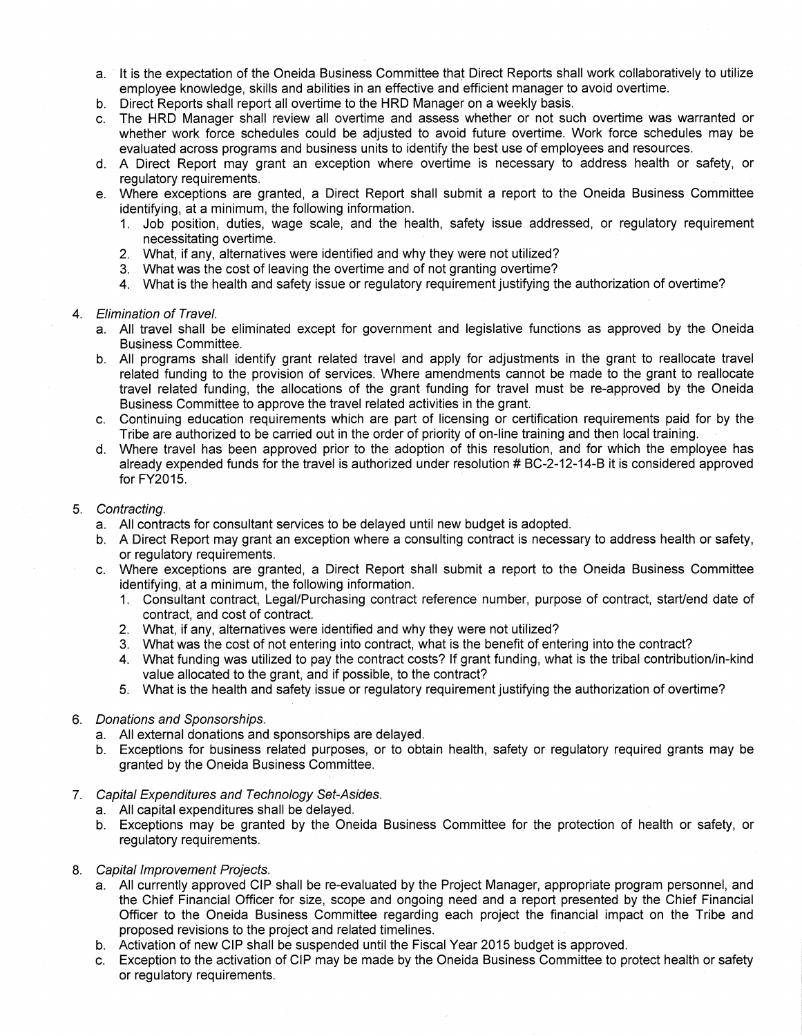- a. It is the expectation of the Oneida Business Committee that Direct Reports shall work collaboratively to utilize employee knowledge, skills and abilities in an effective and efficient manager to avoid overtime.
- b. Direct Reports shall report all overtime to the HRD Manager on a weekly basis.
- c. The HRD Manager shall review all overtime and assess whether or not such overtime was warranted or whether work force schedules could be adjusted to avoid future overtime. Work force schedules may be evaluated across programs and business units to identify the best use of employees and resources.
- d. A Direct Report may grant an exception where overtime is necessary to address health or safety, or regulatory requirements.
- e. Where exceptions are granted, a Direct Report shall submit a report to the Oneida Business Committee identifying, at a minimum, the following information.
	- 1. Job position, duties, wage scale, and the health, safety issue addressed, or regulatory requirement necessitating overtime.
	- 2. What, if any, alternatives were identified and why they were not utilized?
	- 3. What was the cost of leaving the overtime and of not granting overtime?
	- 4. What is the health and safety issue or regulatory requirement justifying the authorization of overtime?

### 4. Elimination of Travel.

- a. All travel shall be eliminated except for government and legislative functions as approved by the Oneida Business Committee.
- b. All programs shall identify grant related travel and apply for adjustments in the grant to reallocate travel related funding to the provision of services. Where amendments cannot be made to the grant to reallocate travel related funding, the allocations of the grant funding for travel must be re-approved by the Oneida Business Committee to approve the travel related activities in the grant.
- c. Continuing education requirements which are part of licensing or certification requirements paid for by the Tribe are authorized to be carried out in the order of priority of on-line training and then local training.
- d. Where travel has been approved prior to the adoption of this resolution, and for which the employee has already expended funds for the travel is authorized under resolution # BC-2-12-14-B it is considered approved for  $FY2015$ .

### 5. Contracting.

- a. All contracts for consultant services to be delayed until new budget is adopted.
- b. A Direct Report may grant an exception where a consulting contract is necessary to address health or safety, or regulatory requirements.
- c. Where exceptions are granted, a Direct Report shall submit a report to the Oneida Business Committee identifying, at a minimum, the following information.
	- 1. Consultant contract, Legal/Purchasing contract reference number, purpose of contract, start/end date of contract, and cost of contract.
	- 2. What, if any, alternatives were identified and why they were not utilized?
	- 3. What was the cost of not entering into contract, what is the benefit of entering into the contract?
	- 4. What funding was utilized to pay the contract costs? If grant funding, what is the tribal contribution/in-kind value allocated to the grant, and if possible, to the contract?
	- 5. What is the health and safety issue or regulatory requirement justifying the authorization of overtime?

#### 6. Donations and Sponsorships.

- a. All external donations and sponsorships are delayed.
- b. Exceptions for business related purposes, or to obtain health, safety or regulatory required grants may be granted by the Oneida Business Committee. ;
- 7. Capital Expenditures and Technology Set-Asides.
	- a. All capital expenditures shall be delayed.
	- b. Exceptions may be granted by the Oneida Business Committee for the protection of health or safety, or regulatory requirements.
- 8. Capital Improvement Projects.
	- a. All currently approved CIP shall be re-evaluated by the Project Manager, appropriate program personnel, and the Chief Financial Officer for size, scope and ongoing need and a report presented by the Chief Financial Officer to the Oneida Business Committee regarding each project the financial impact on the Tribe and proposed revisions to the project and related timelines.
	- b. Activation of new CIP shall be suspended until the Fiscal Year 2015 budget is approved.
	- c. Exception to the activation of CIP may be made by the Oneida Business Committee to protect health or safety or regulatory requirements.